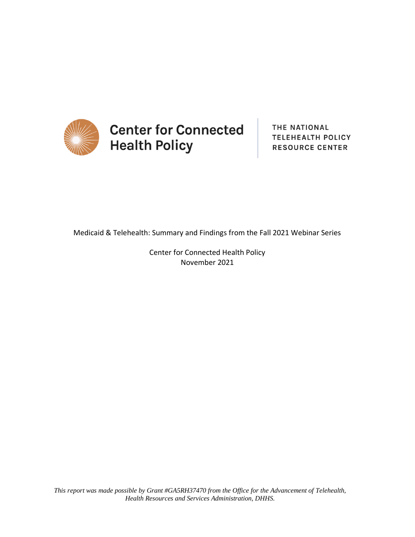

THE NATIONAL **TELEHEALTH POLICY RESOURCE CENTER** 

Medicaid & Telehealth: Summary and Findings from the Fall 2021 Webinar Series

Center for Connected Health Policy November 2021

*This report was made possible by Grant #GA5RH37470 from the Office for the Advancement of Telehealth, Health Resources and Services Administration, DHHS.*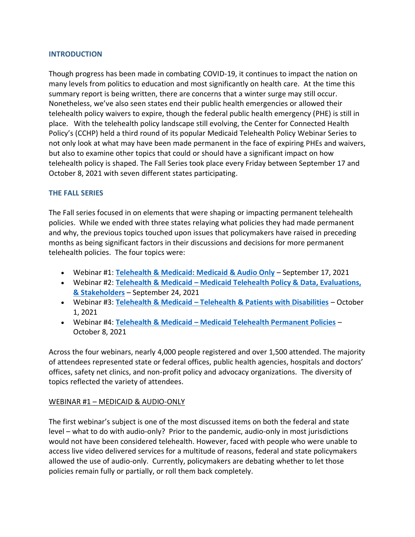### **INTRODUCTION**

Though progress has been made in combating COVID-19, it continues to impact the nation on many levels from politics to education and most significantly on health care. At the time this summary report is being written, there are concerns that a winter surge may still occur. Nonetheless, we've also seen states end their public health emergencies or allowed their telehealth policy waivers to expire, though the federal public health emergency (PHE) is still in place. With the telehealth policy landscape still evolving, the Center for Connected Health Policy's (CCHP) held a third round of its popular Medicaid Telehealth Policy Webinar Series to not only look at what may have been made permanent in the face of expiring PHEs and waivers, but also to examine other topics that could or should have a significant impact on how telehealth policy is shaped. The Fall Series took place every Friday between September 17 and October 8, 2021 with seven different states participating.

## **THE FALL SERIES**

The Fall series focused in on elements that were shaping or impacting permanent telehealth policies. While we ended with three states relaying what policies they had made permanent and why, the previous topics touched upon issues that policymakers have raised in preceding months as being significant factors in their discussions and decisions for more permanent telehealth policies. The four topics were:

- Webinar #1: **[Telehealth & Medicaid: Medicaid & Audio Only](https://www.cchpca.org/resources/telehealth-medicaid-medicaid-audio-only/)** September 17, 2021
- Webinar #2: **Telehealth & Medicaid – [Medicaid Telehealth Policy & Data, Evaluations,](https://www.cchpca.org/resources/telehealth-medicaid-medicaid-telehealth-policy-data-evaluations-stakeholders/)  [& Stakeholders](https://www.cchpca.org/resources/telehealth-medicaid-medicaid-telehealth-policy-data-evaluations-stakeholders/)** – September 24, 2021
- Webinar #3: **Telehealth & Medicaid – [Telehealth & Patients with Disabilities](https://www.cchpca.org/resources/telehealth-medicaid-telehealth-patients-with-disabilities/)** October 1, 2021
- Webinar #4: **Telehealth & Medicaid – [Medicaid Telehealth Permanent Policies](https://www.cchpca.org/resources/telehealth-medicaid-medicaid-telehealth-permanent-policies/)** October 8, 2021

Across the four webinars, nearly 4,000 people registered and over 1,500 attended. The majority of attendees represented state or federal offices, public health agencies, hospitals and doctors' offices, safety net clinics, and non-profit policy and advocacy organizations. The diversity of topics reflected the variety of attendees.

## WEBINAR #1 – MEDICAID & AUDIO-ONLY

The first webinar's subject is one of the most discussed items on both the federal and state level – what to do with audio-only? Prior to the pandemic, audio-only in most jurisdictions would not have been considered telehealth. However, faced with people who were unable to access live video delivered services for a multitude of reasons, federal and state policymakers allowed the use of audio-only. Currently, policymakers are debating whether to let those policies remain fully or partially, or roll them back completely.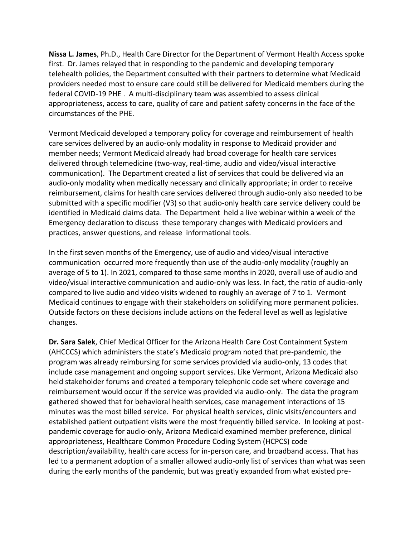**Nissa L. James**, Ph.D., Health Care Director for the Department of Vermont Health Access spoke first. Dr. James relayed that in responding to the pandemic and developing temporary telehealth policies, the Department consulted with their partners to determine what Medicaid providers needed most to ensure care could still be delivered for Medicaid members during the federal COVID-19 PHE . A multi-disciplinary team was assembled to assess clinical appropriateness, access to care, quality of care and patient safety concerns in the face of the circumstances of the PHE.

Vermont Medicaid developed a temporary policy for coverage and reimbursement of health care services delivered by an audio-only modality in response to Medicaid provider and member needs; Vermont Medicaid already had broad coverage for health care services delivered through telemedicine (two-way, real-time, audio and video/visual interactive communication). The Department created a list of services that could be delivered via an audio-only modality when medically necessary and clinically appropriate; in order to receive reimbursement, claims for health care services delivered through audio-only also needed to be submitted with a specific modifier (V3) so that audio-only health care service delivery could be identified in Medicaid claims data. The Department held a live webinar within a week of the Emergency declaration to discuss these temporary changes with Medicaid providers and practices, answer questions, and release informational tools.

In the first seven months of the Emergency, use of audio and video/visual interactive communication occurred more frequently than use of the audio-only modality (roughly an average of 5 to 1). In 2021, compared to those same months in 2020, overall use of audio and video/visual interactive communication and audio-only was less. In fact, the ratio of audio-only compared to live audio and video visits widened to roughly an average of 7 to 1. Vermont Medicaid continues to engage with their stakeholders on solidifying more permanent policies. Outside factors on these decisions include actions on the federal level as well as legislative changes.

**Dr. Sara Salek**, Chief Medical Officer for the Arizona Health Care Cost Containment System (AHCCCS) which administers the state's Medicaid program noted that pre-pandemic, the program was already reimbursing for some services provided via audio-only, 13 codes that include case management and ongoing support services. Like Vermont, Arizona Medicaid also held stakeholder forums and created a temporary telephonic code set where coverage and reimbursement would occur if the service was provided via audio-only. The data the program gathered showed that for behavioral health services, case management interactions of 15 minutes was the most billed service. For physical health services, clinic visits/encounters and established patient outpatient visits were the most frequently billed service. In looking at postpandemic coverage for audio-only, Arizona Medicaid examined member preference, clinical appropriateness, Healthcare Common Procedure Coding System (HCPCS) code description/availability, health care access for in-person care, and broadband access. That has led to a permanent adoption of a smaller allowed audio-only list of services than what was seen during the early months of the pandemic, but was greatly expanded from what existed pre-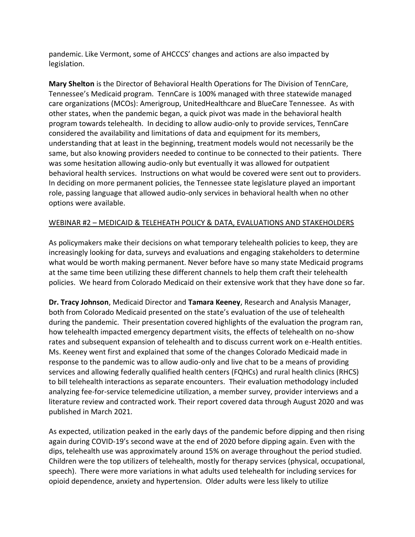pandemic. Like Vermont, some of AHCCCS' changes and actions are also impacted by legislation.

**Mary Shelton** is the Director of Behavioral Health Operations for The Division of TennCare, Tennessee's Medicaid program. TennCare is 100% managed with three statewide managed care organizations (MCOs): Amerigroup, UnitedHealthcare and BlueCare Tennessee. As with other states, when the pandemic began, a quick pivot was made in the behavioral health program towards telehealth. In deciding to allow audio-only to provide services, TennCare considered the availability and limitations of data and equipment for its members, understanding that at least in the beginning, treatment models would not necessarily be the same, but also knowing providers needed to continue to be connected to their patients. There was some hesitation allowing audio-only but eventually it was allowed for outpatient behavioral health services. Instructions on what would be covered were sent out to providers. In deciding on more permanent policies, the Tennessee state legislature played an important role, passing language that allowed audio-only services in behavioral health when no other options were available.

## WEBINAR #2 – MEDICAID & TELEHEATH POLICY & DATA, EVALUATIONS AND STAKEHOLDERS

As policymakers make their decisions on what temporary telehealth policies to keep, they are increasingly looking for data, surveys and evaluations and engaging stakeholders to determine what would be worth making permanent. Never before have so many state Medicaid programs at the same time been utilizing these different channels to help them craft their telehealth policies. We heard from Colorado Medicaid on their extensive work that they have done so far.

**Dr. Tracy Johnson**, Medicaid Director and **Tamara Keeney**, Research and Analysis Manager, both from Colorado Medicaid presented on the state's evaluation of the use of telehealth during the pandemic. Their presentation covered highlights of the evaluation the program ran, how telehealth impacted emergency department visits, the effects of telehealth on no-show rates and subsequent expansion of telehealth and to discuss current work on e-Health entities. Ms. Keeney went first and explained that some of the changes Colorado Medicaid made in response to the pandemic was to allow audio-only and live chat to be a means of providing services and allowing federally qualified health centers (FQHCs) and rural health clinics (RHCS) to bill telehealth interactions as separate encounters. Their evaluation methodology included analyzing fee-for-service telemedicine utilization, a member survey, provider interviews and a literature review and contracted work. Their report covered data through August 2020 and was published in March 2021.

As expected, utilization peaked in the early days of the pandemic before dipping and then rising again during COVID-19's second wave at the end of 2020 before dipping again. Even with the dips, telehealth use was approximately around 15% on average throughout the period studied. Children were the top utilizers of telehealth, mostly for therapy services (physical, occupational, speech). There were more variations in what adults used telehealth for including services for opioid dependence, anxiety and hypertension. Older adults were less likely to utilize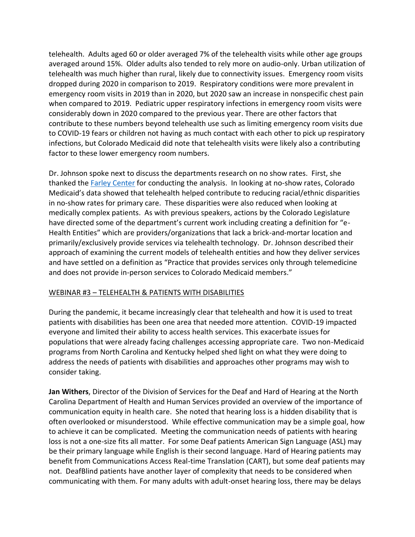telehealth. Adults aged 60 or older averaged 7% of the telehealth visits while other age groups averaged around 15%. Older adults also tended to rely more on audio-only. Urban utilization of telehealth was much higher than rural, likely due to connectivity issues. Emergency room visits dropped during 2020 in comparison to 2019. Respiratory conditions were more prevalent in emergency room visits in 2019 than in 2020, but 2020 saw an increase in nonspecific chest pain when compared to 2019. Pediatric upper respiratory infections in emergency room visits were considerably down in 2020 compared to the previous year. There are other factors that contribute to these numbers beyond telehealth use such as limiting emergency room visits due to COVID-19 fears or children not having as much contact with each other to pick up respiratory infections, but Colorado Medicaid did note that telehealth visits were likely also a contributing factor to these lower emergency room numbers.

Dr. Johnson spoke next to discuss the departments research on no show rates. First, she thanked the [Farley Center](https://medschool.cuanschutz.edu/farleyhealthpolicycenter) for conducting the analysis. In looking at no-show rates, Colorado Medicaid's data showed that telehealth helped contribute to reducing racial/ethnic disparities in no-show rates for primary care. These disparities were also reduced when looking at medically complex patients. As with previous speakers, actions by the Colorado Legislature have directed some of the department's current work including creating a definition for "e-Health Entities" which are providers/organizations that lack a brick-and-mortar location and primarily/exclusively provide services via telehealth technology. Dr. Johnson described their approach of examining the current models of telehealth entities and how they deliver services and have settled on a definition as "Practice that provides services only through telemedicine and does not provide in-person services to Colorado Medicaid members."

# WEBINAR #3 – TELEHEALTH & PATIENTS WITH DISABILITIES

During the pandemic, it became increasingly clear that telehealth and how it is used to treat patients with disabilities has been one area that needed more attention. COVID-19 impacted everyone and limited their ability to access health services. This exacerbate issues for populations that were already facing challenges accessing appropriate care. Two non-Medicaid programs from North Carolina and Kentucky helped shed light on what they were doing to address the needs of patients with disabilities and approaches other programs may wish to consider taking.

**Jan Withers**, Director of the Division of Services for the Deaf and Hard of Hearing at the North Carolina Department of Health and Human Services provided an overview of the importance of communication equity in health care. She noted that hearing loss is a hidden disability that is often overlooked or misunderstood. While effective communication may be a simple goal, how to achieve it can be complicated. Meeting the communication needs of patients with hearing loss is not a one-size fits all matter. For some Deaf patients American Sign Language (ASL) may be their primary language while English is their second language. Hard of Hearing patients may benefit from Communications Access Real-time Translation (CART), but some deaf patients may not. DeafBlind patients have another layer of complexity that needs to be considered when communicating with them. For many adults with adult-onset hearing loss, there may be delays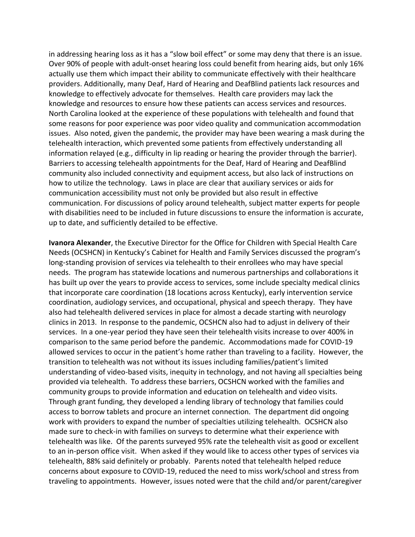in addressing hearing loss as it has a "slow boil effect" or some may deny that there is an issue. Over 90% of people with adult-onset hearing loss could benefit from hearing aids, but only 16% actually use them which impact their ability to communicate effectively with their healthcare providers. Additionally, many Deaf, Hard of Hearing and DeafBlind patients lack resources and knowledge to effectively advocate for themselves. Health care providers may lack the knowledge and resources to ensure how these patients can access services and resources. North Carolina looked at the experience of these populations with telehealth and found that some reasons for poor experience was poor video quality and communication accommodation issues. Also noted, given the pandemic, the provider may have been wearing a mask during the telehealth interaction, which prevented some patients from effectively understanding all information relayed (e.g., difficulty in lip reading or hearing the provider through the barrier). Barriers to accessing telehealth appointments for the Deaf, Hard of Hearing and DeafBlind community also included connectivity and equipment access, but also lack of instructions on how to utilize the technology. Laws in place are clear that auxiliary services or aids for communication accessibility must not only be provided but also result in effective communication. For discussions of policy around telehealth, subject matter experts for people with disabilities need to be included in future discussions to ensure the information is accurate, up to date, and sufficiently detailed to be effective.

**Ivanora Alexander**, the Executive Director for the Office for Children with Special Health Care Needs (OCSHCN) in Kentucky's Cabinet for Health and Family Services discussed the program's long-standing provision of services via telehealth to their enrollees who may have special needs. The program has statewide locations and numerous partnerships and collaborations it has built up over the years to provide access to services, some include specialty medical clinics that incorporate care coordination (18 locations across Kentucky), early intervention service coordination, audiology services, and occupational, physical and speech therapy. They have also had telehealth delivered services in place for almost a decade starting with neurology clinics in 2013. In response to the pandemic, OCSHCN also had to adjust in delivery of their services. In a one-year period they have seen their telehealth visits increase to over 400% in comparison to the same period before the pandemic. Accommodations made for COVID-19 allowed services to occur in the patient's home rather than traveling to a facility. However, the transition to telehealth was not without its issues including families/patient's limited understanding of video-based visits, inequity in technology, and not having all specialties being provided via telehealth. To address these barriers, OCSHCN worked with the families and community groups to provide information and education on telehealth and video visits. Through grant funding, they developed a lending library of technology that families could access to borrow tablets and procure an internet connection. The department did ongoing work with providers to expand the number of specialties utilizing telehealth. OCSHCN also made sure to check-in with families on surveys to determine what their experience with telehealth was like. Of the parents surveyed 95% rate the telehealth visit as good or excellent to an in-person office visit. When asked if they would like to access other types of services via telehealth, 88% said definitely or probably. Parents noted that telehealth helped reduce concerns about exposure to COVID-19, reduced the need to miss work/school and stress from traveling to appointments. However, issues noted were that the child and/or parent/caregiver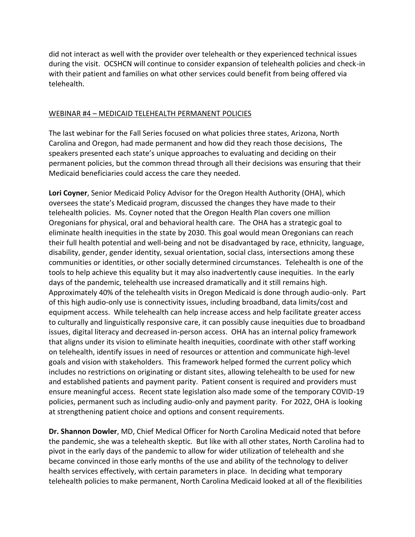did not interact as well with the provider over telehealth or they experienced technical issues during the visit. OCSHCN will continue to consider expansion of telehealth policies and check-in with their patient and families on what other services could benefit from being offered via telehealth.

### WEBINAR #4 – MEDICAID TELEHEALTH PERMANENT POLICIES

The last webinar for the Fall Series focused on what policies three states, Arizona, North Carolina and Oregon, had made permanent and how did they reach those decisions, The speakers presented each state's unique approaches to evaluating and deciding on their permanent policies, but the common thread through all their decisions was ensuring that their Medicaid beneficiaries could access the care they needed.

**Lori Coyner**, Senior Medicaid Policy Advisor for the Oregon Health Authority (OHA), which oversees the state's Medicaid program, discussed the changes they have made to their telehealth policies. Ms. Coyner noted that the Oregon Health Plan covers one million Oregonians for physical, oral and behavioral health care. The OHA has a strategic goal to eliminate health inequities in the state by 2030. This goal would mean Oregonians can reach their full health potential and well-being and not be disadvantaged by race, ethnicity, language, disability, gender, gender identity, sexual orientation, social class, intersections among these communities or identities, or other socially determined circumstances. Telehealth is one of the tools to help achieve this equality but it may also inadvertently cause inequities. In the early days of the pandemic, telehealth use increased dramatically and it still remains high. Approximately 40% of the telehealth visits in Oregon Medicaid is done through audio-only. Part of this high audio-only use is connectivity issues, including broadband, data limits/cost and equipment access. While telehealth can help increase access and help facilitate greater access to culturally and linguistically responsive care, it can possibly cause inequities due to broadband issues, digital literacy and decreased in-person access. OHA has an internal policy framework that aligns under its vision to eliminate health inequities, coordinate with other staff working on telehealth, identify issues in need of resources or attention and communicate high-level goals and vision with stakeholders. This framework helped formed the current policy which includes no restrictions on originating or distant sites, allowing telehealth to be used for new and established patients and payment parity. Patient consent is required and providers must ensure meaningful access. Recent state legislation also made some of the temporary COVID-19 policies, permanent such as including audio-only and payment parity. For 2022, OHA is looking at strengthening patient choice and options and consent requirements.

**Dr. Shannon Dowler**, MD, Chief Medical Officer for North Carolina Medicaid noted that before the pandemic, she was a telehealth skeptic. But like with all other states, North Carolina had to pivot in the early days of the pandemic to allow for wider utilization of telehealth and she became convinced in those early months of the use and ability of the technology to deliver health services effectively, with certain parameters in place. In deciding what temporary telehealth policies to make permanent, North Carolina Medicaid looked at all of the flexibilities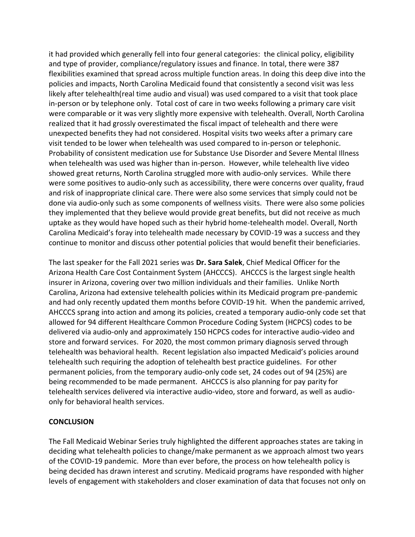it had provided which generally fell into four general categories: the clinical policy, eligibility and type of provider, compliance/regulatory issues and finance. In total, there were 387 flexibilities examined that spread across multiple function areas. In doing this deep dive into the policies and impacts, North Carolina Medicaid found that consistently a second visit was less likely after telehealth(real time audio and visual) was used compared to a visit that took place in-person or by telephone only. Total cost of care in two weeks following a primary care visit were comparable or it was very slightly more expensive with telehealth. Overall, North Carolina realized that it had grossly overestimated the fiscal impact of telehealth and there were unexpected benefits they had not considered. Hospital visits two weeks after a primary care visit tended to be lower when telehealth was used compared to in-person or telephonic. Probability of consistent medication use for Substance Use Disorder and Severe Mental Illness when telehealth was used was higher than in-person. However, while telehealth live video showed great returns, North Carolina struggled more with audio-only services. While there were some positives to audio-only such as accessibility, there were concerns over quality, fraud and risk of inappropriate clinical care. There were also some services that simply could not be done via audio-only such as some components of wellness visits. There were also some policies they implemented that they believe would provide great benefits, but did not receive as much uptake as they would have hoped such as their hybrid home-telehealth model. Overall, North Carolina Medicaid's foray into telehealth made necessary by COVID-19 was a success and they continue to monitor and discuss other potential policies that would benefit their beneficiaries.

The last speaker for the Fall 2021 series was **Dr. Sara Salek**, Chief Medical Officer for the Arizona Health Care Cost Containment System (AHCCCS). AHCCCS is the largest single health insurer in Arizona, covering over two million individuals and their families. Unlike North Carolina, Arizona had extensive telehealth policies within its Medicaid program pre-pandemic and had only recently updated them months before COVID-19 hit. When the pandemic arrived, AHCCCS sprang into action and among its policies, created a temporary audio-only code set that allowed for 94 different Healthcare Common Procedure Coding System (HCPCS) codes to be delivered via audio-only and approximately 150 HCPCS codes for interactive audio-video and store and forward services. For 2020, the most common primary diagnosis served through telehealth was behavioral health. Recent legislation also impacted Medicaid's policies around telehealth such requiring the adoption of telehealth best practice guidelines. For other permanent policies, from the temporary audio-only code set, 24 codes out of 94 (25%) are being recommended to be made permanent. AHCCCS is also planning for pay parity for telehealth services delivered via interactive audio-video, store and forward, as well as audioonly for behavioral health services.

# **CONCLUSION**

The Fall Medicaid Webinar Series truly highlighted the different approaches states are taking in deciding what telehealth policies to change/make permanent as we approach almost two years of the COVID-19 pandemic. More than ever before, the process on how telehealth policy is being decided has drawn interest and scrutiny. Medicaid programs have responded with higher levels of engagement with stakeholders and closer examination of data that focuses not only on